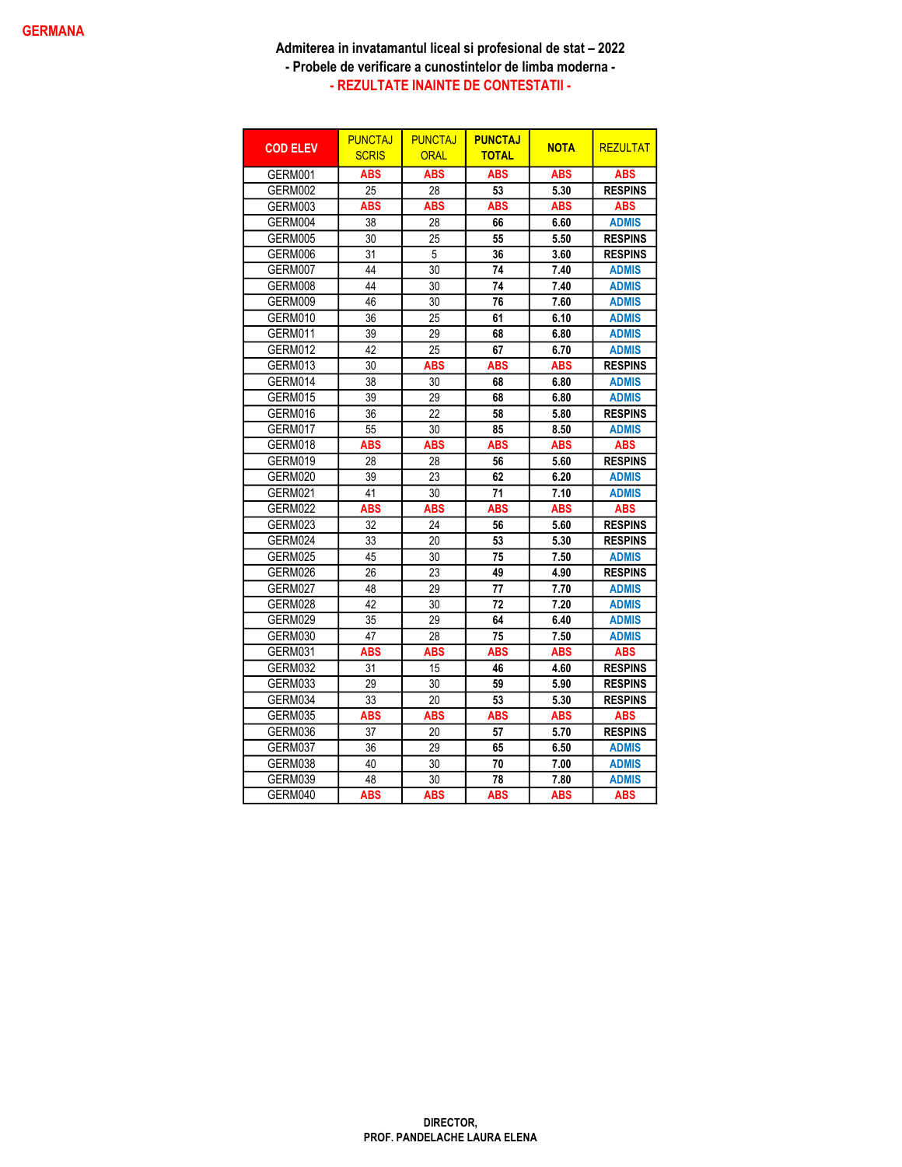| <b>COD ELEV</b> | <b>PUNCTAJ</b><br><b>SCRIS</b> | <b>PUNCTAJ</b><br><b>ORAL</b> | <b>PUNCTAJ</b><br><b>TOTAL</b> | <b>NOTA</b> | <b>REZULTAT</b> |
|-----------------|--------------------------------|-------------------------------|--------------------------------|-------------|-----------------|
| GERM001         | <b>ABS</b>                     | <b>ABS</b>                    | <b>ABS</b>                     | <b>ABS</b>  | <b>ABS</b>      |
| GERM002         | 25                             | 28                            | 53                             | 5.30        | <b>RESPINS</b>  |
| GERM003         | <b>ABS</b>                     | <b>ABS</b>                    | <b>ABS</b>                     | <b>ABS</b>  | <b>ABS</b>      |
| GERM004         | 38                             | 28                            | 66                             | 6.60        | <b>ADMIS</b>    |
| GERM005         | 30                             | 25                            | 55                             | 5.50        | <b>RESPINS</b>  |
| GERM006         | 31                             | 5                             | 36                             | 3.60        | <b>RESPINS</b>  |
| GERM007         | 44                             | 30                            | 74                             | 7.40        | <b>ADMIS</b>    |
| GERM008         | 44                             | 30                            | 74                             | 7.40        | <b>ADMIS</b>    |
| GERM009         | 46                             | 30                            | 76                             | 7.60        | <b>ADMIS</b>    |
| GERM010         | 36                             | 25                            | 61                             | 6.10        | <b>ADMIS</b>    |
| GERM011         | 39                             | 29                            | 68                             | 6.80        | <b>ADMIS</b>    |
| GERM012         | 42                             | 25                            | 67                             | 6.70        | <b>ADMIS</b>    |
| GERM013         | 30                             | <b>ABS</b>                    | <b>ABS</b>                     | <b>ABS</b>  | <b>RESPINS</b>  |
| GERM014         | 38                             | 30                            | 68                             | 6.80        | <b>ADMIS</b>    |
| GERM015         | 39                             | 29                            | 68                             | 6.80        | <b>ADMIS</b>    |
| GERM016         | 36                             | 22                            | 58                             | 5.80        | <b>RESPINS</b>  |
| GERM017         | 55                             | 30                            | 85                             | 8.50        | <b>ADMIS</b>    |
| GERM018         | <b>ABS</b>                     | <b>ABS</b>                    | <b>ABS</b>                     | <b>ABS</b>  | <b>ABS</b>      |
| GERM019         | 28                             | 28                            | 56                             | 5.60        | <b>RESPINS</b>  |
| GERM020         | 39                             | 23                            | 62                             | 6.20        | <b>ADMIS</b>    |
| GERM021         | 41                             | 30                            | 71                             | 7.10        | <b>ADMIS</b>    |
| GERM022         | <b>ABS</b>                     | <b>ABS</b>                    | ABS                            | <b>ABS</b>  | <b>ABS</b>      |
| GERM023         | 32                             | 24                            | 56                             | 5.60        | <b>RESPINS</b>  |
| GERM024         | 33                             | 20                            | 53                             | 5.30        | <b>RESPINS</b>  |
| GERM025         | 45                             | 30                            | 75                             | 7.50        | <b>ADMIS</b>    |
| GERM026         | 26                             | 23                            | 49                             | 4.90        | <b>RESPINS</b>  |
| GERM027         | 48                             | 29                            | 77                             | 7.70        | <b>ADMIS</b>    |
| GERM028         | 42                             | 30                            | 72                             | 7.20        | <b>ADMIS</b>    |
| GERM029         | 35                             | 29                            | 64                             | 6.40        | <b>ADMIS</b>    |
| GERM030         | 47                             | 28                            | 75                             | 7.50        | <b>ADMIS</b>    |
| GERM031         | <b>ABS</b>                     | <b>ABS</b>                    | <b>ABS</b>                     | <b>ABS</b>  | <b>ABS</b>      |
| GERM032         | 31                             | 15                            | 46                             | 4.60        | <b>RESPINS</b>  |
| GERM033         | 29                             | 30                            | 59                             | 5.90        | <b>RESPINS</b>  |
| GERM034         | 33                             | 20                            | 53                             | 5.30        | Respins         |
| GERM035         | <b>ABS</b>                     | ABS                           | ABS                            | ABS         | <b>ABS</b>      |
| GERM036         | 37                             | 20                            | 57                             | 5.70        | <b>RESPINS</b>  |
| GERM037         | 36                             | 29                            | 65                             | 6.50        | <b>ADMIS</b>    |
| GERM038         | 40                             | 30                            | 70                             | 7.00        | <b>ADMIS</b>    |
| GERM039         | 48                             | 30                            | 78                             | 7.80        | <b>ADMIS</b>    |
| GERM040         | ABS                            | <b>ABS</b>                    | ABS                            | ABS         | <b>ABS</b>      |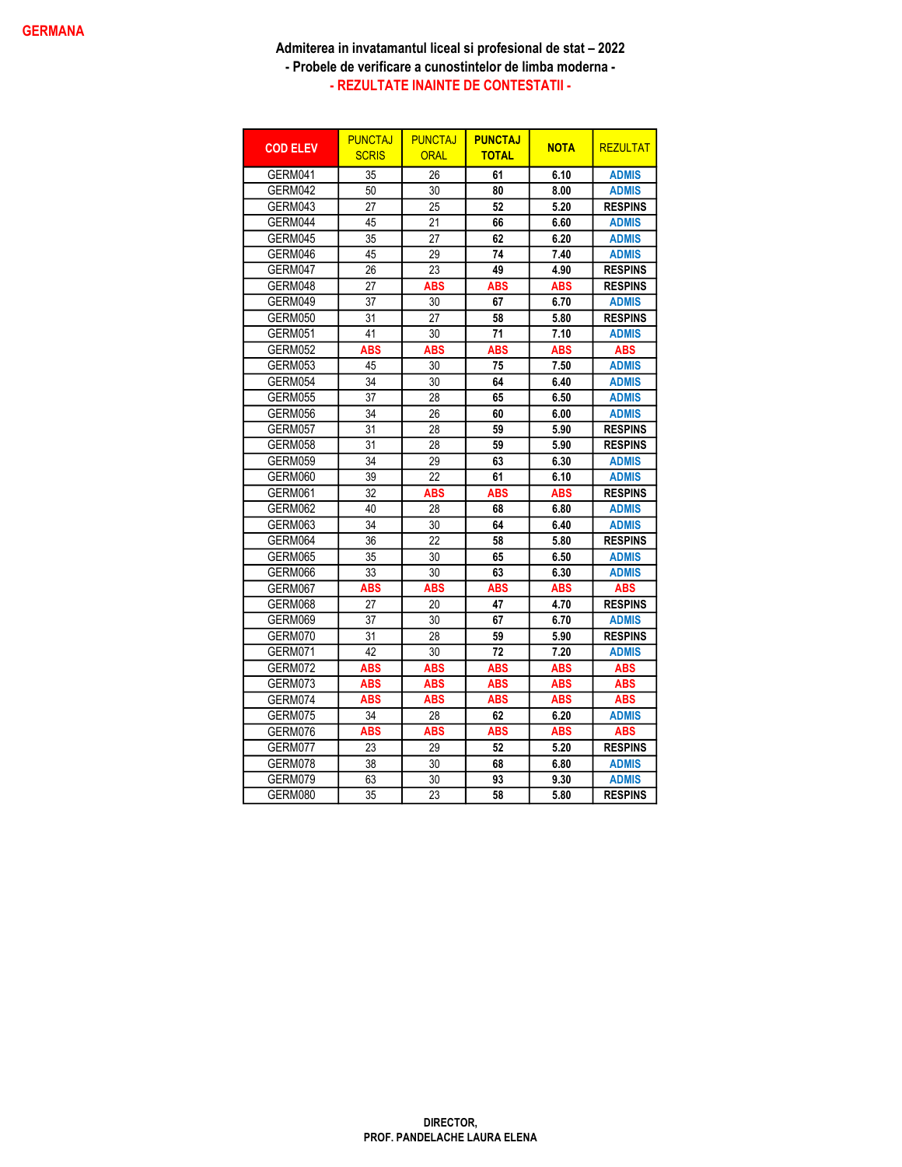| <b>COD ELEV</b> | <b>PUNCTAJ</b><br><b>SCRIS</b> | <b>PUNCTAJ</b><br><b>ORAL</b> | <b>PUNCTAJ</b><br><b>TOTAL</b> | <b>NOTA</b> | <b>REZULTAT</b> |
|-----------------|--------------------------------|-------------------------------|--------------------------------|-------------|-----------------|
| GERM041         | 35                             | 26                            | 61                             | 6.10        | <b>ADMIS</b>    |
| GERM042         | 50                             | 30                            | 80                             | 8.00        | <b>ADMIS</b>    |
| GERM043         | 27                             | 25                            | 52                             | 5.20        | <b>RESPINS</b>  |
| GERM044         | 45                             | 21                            | 66                             | 6.60        | <b>ADMIS</b>    |
| GERM045         | 35                             | 27                            | 62                             | 6.20        | <b>ADMIS</b>    |
| GERM046         | 45                             | 29                            | 74                             | 7.40        | <b>ADMIS</b>    |
| GERM047         | 26                             | 23                            | 49                             | 4.90        | <b>RESPINS</b>  |
| GERM048         | 27                             | <b>ABS</b>                    | <b>ABS</b>                     | <b>ABS</b>  | <b>RESPINS</b>  |
| GERM049         | 37                             | 30                            | 67                             | 6.70        | <b>ADMIS</b>    |
| GERM050         | 31                             | 27                            | 58                             | 5.80        | <b>RESPINS</b>  |
| GERM051         | 41                             | 30                            | 71                             | 7.10        | <b>ADMIS</b>    |
| GERM052         | <b>ABS</b>                     | <b>ABS</b>                    | <b>ABS</b>                     | <b>ABS</b>  | <b>ABS</b>      |
| GERM053         | 45                             | 30                            | 75                             | 7.50        | <b>ADMIS</b>    |
| GERM054         | 34                             | 30                            | 64                             | 6.40        | <b>ADMIS</b>    |
| GERM055         | 37                             | 28                            | 65                             | 6.50        | <b>ADMIS</b>    |
| GERM056         | 34                             | 26                            | 60                             | 6.00        | <b>ADMIS</b>    |
| GERM057         | 31                             | 28                            | 59                             | 5.90        | <b>RESPINS</b>  |
| GERM058         | 31                             | 28                            | 59                             | 5.90        | <b>RESPINS</b>  |
| GERM059         | 34                             | 29                            | 63                             | 6.30        | <b>ADMIS</b>    |
| GERM060         | 39                             | 22                            | 61                             | 6.10        | <b>ADMIS</b>    |
| GERM061         | 32                             | <b>ABS</b>                    | <b>ABS</b>                     | <b>ABS</b>  | <b>RESPINS</b>  |
| GERM062         | 40                             | 28                            | 68                             | 6.80        | <b>ADMIS</b>    |
| GERM063         | 34                             | 30                            | 64                             | 6.40        | <b>ADMIS</b>    |
| GERM064         | 36                             | 22                            | 58                             | 5.80        | <b>RESPINS</b>  |
| GERM065         | 35                             | 30                            | 65                             | 6.50        | <b>ADMIS</b>    |
| GERM066         | 33                             | 30                            | 63                             | 6.30        | <b>ADMIS</b>    |
| GERM067         | ABS                            | ABS                           | ABS                            | ABS         | <b>ABS</b>      |
| GERM068         | 27                             | 20                            | 47                             | 4.70        | <b>RESPINS</b>  |
| GERM069         | 37                             | 30                            | 67                             | 6.70        | <b>ADMIS</b>    |
| GERM070         | 31                             | 28                            | 59                             | 5.90        | <b>RESPINS</b>  |
| GERM071         | 42                             | 30                            | 72                             | 7.20        | <b>ADMIS</b>    |
| GERM072         | <b>ABS</b>                     | <b>ABS</b>                    | ABS                            | <b>ABS</b>  | <b>ABS</b>      |
| GERM073         | <b>ABS</b>                     | <b>ABS</b>                    | <b>ABS</b>                     | <b>ABS</b>  | <b>ABS</b>      |
| GERM074         | <b>ABS</b>                     | <b>ABS</b>                    | <b>ABS</b>                     | <b>ABS</b>  | <b>ABS</b>      |
| GERM075         | 34                             | 28                            | 62                             | 6.20        | <b>ADMIS</b>    |
| GERM076         | ABS                            | <b>ABS</b>                    | ABS                            | <b>ABS</b>  | <b>ABS</b>      |
| GERM077         | 23                             | 29                            | 52                             | 5.20        | <b>RESPINS</b>  |
| GERM078         | 38                             | 30                            | 68                             | 6.80        | <b>ADMIS</b>    |
| GERM079         | 63                             | 30                            | 93                             | 9.30        | <b>ADMIS</b>    |
| GERM080         | 35                             | 23                            | 58                             | 5.80        | <b>RESPINS</b>  |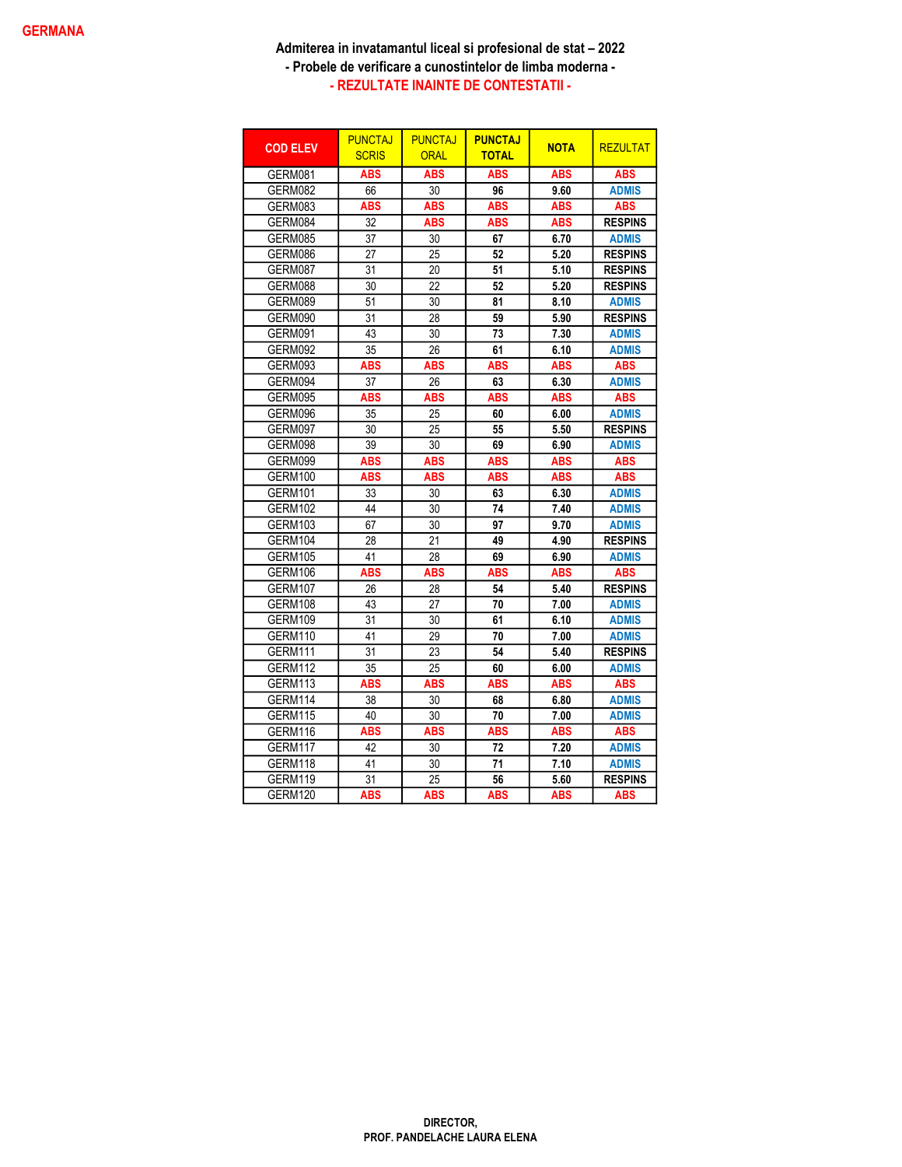| <b>COD ELEV</b> | <b>PUNCTAJ</b><br><b>SCRIS</b> | <b>PUNCTAJ</b><br><b>ORAL</b> | <b>PUNCTAJ</b><br><b>TOTAL</b> | <b>NOTA</b> | <b>REZULTAT</b> |
|-----------------|--------------------------------|-------------------------------|--------------------------------|-------------|-----------------|
| GERM081         | <b>ABS</b>                     | <b>ABS</b>                    | <b>ABS</b>                     | <b>ABS</b>  | <b>ABS</b>      |
| GERM082         | 66                             | 30                            | 96                             | 9.60        | <b>ADMIS</b>    |
| GERM083         | <b>ABS</b>                     | <b>ABS</b>                    | <b>ABS</b>                     | <b>ABS</b>  | <b>ABS</b>      |
| GERM084         | 32                             | <b>ABS</b>                    | <b>ABS</b>                     | <b>ABS</b>  | <b>RESPINS</b>  |
| GERM085         | 37                             | 30                            | 67                             | 6.70        | <b>ADMIS</b>    |
| GERM086         | 27                             | 25                            | 52                             | 5.20        | <b>RESPINS</b>  |
| GERM087         | 31                             | 20                            | 51                             | 5.10        | <b>RESPINS</b>  |
| GERM088         | 30                             | 22                            | 52                             | 5.20        | <b>RESPINS</b>  |
| GERM089         | 51                             | 30                            | 81                             | 8.10        | <b>ADMIS</b>    |
| GERM090         | 31                             | 28                            | 59                             | 5.90        | <b>RESPINS</b>  |
| GERM091         | 43                             | 30                            | 73                             | 7.30        | <b>ADMIS</b>    |
| GERM092         | 35                             | 26                            | 61                             | 6.10        | <b>ADMIS</b>    |
| GERM093         | <b>ABS</b>                     | <b>ABS</b>                    | <b>ABS</b>                     | <b>ABS</b>  | <b>ABS</b>      |
| GERM094         | 37                             | 26                            | 63                             | 6.30        | <b>ADMIS</b>    |
| GERM095         | <b>ABS</b>                     | <b>ABS</b>                    | <b>ABS</b>                     | <b>ABS</b>  | <b>ABS</b>      |
| GERM096         | 35                             | 25                            | 60                             | 6.00        | <b>ADMIS</b>    |
| GERM097         | 30                             | 25                            | 55                             | 5.50        | <b>RESPINS</b>  |
| GERM098         | 39                             | 30                            | 69                             | 6.90        | <b>ADMIS</b>    |
| GERM099         | <b>ABS</b>                     | <b>ABS</b>                    | <b>ABS</b>                     | <b>ABS</b>  | <b>ABS</b>      |
| GERM100         | <b>ABS</b>                     | <b>ABS</b>                    | <b>ABS</b>                     | <b>ABS</b>  | <b>ABS</b>      |
| GERM101         | 33                             | 30                            | 63                             | 6.30        | <b>ADMIS</b>    |
| GERM102         | 44                             | 30                            | 74                             | 7.40        | <b>ADMIS</b>    |
| GERM103         | 67                             | 30                            | 97                             | 9.70        | <b>ADMIS</b>    |
| GERM104         | 28                             | 21                            | 49                             | 4.90        | <b>RESPINS</b>  |
| GERM105         | 41                             | 28                            | 69                             | 6.90        | <b>ADMIS</b>    |
| GERM106         | <b>ABS</b>                     | <b>ABS</b>                    | <b>ABS</b>                     | <b>ABS</b>  | <b>ABS</b>      |
| GERM107         | 26                             | 28                            | 54                             | 5.40        | <b>RESPINS</b>  |
| GERM108         | 43                             | 27                            | 70                             | 7.00        | <b>ADMIS</b>    |
| GERM109         | 31                             | 30                            | 61                             | 6.10        | <b>ADMIS</b>    |
| GERM110         | 41                             | 29                            | 70                             | 7.00        | <b>ADMIS</b>    |
| GERM111         | $\overline{31}$                | 23                            | 54                             | 5.40        | <b>RESPINS</b>  |
| GERM112         | 35                             | 25                            | 60                             | 6.00        | <b>ADMIS</b>    |
| GERM113         | <b>ABS</b>                     | <b>ABS</b>                    | ABS                            | <b>ABS</b>  | <b>ABS</b>      |
| GERM114         | 38                             | 30                            | 68                             | 6.80        | <b>ADMIS</b>    |
| GERM115         | 40                             | 30                            | 70                             | 7.00        | <b>ADMIS</b>    |
| GERM116         | <b>ABS</b>                     | <b>ABS</b>                    | <b>ABS</b>                     | <b>ABS</b>  | <b>ABS</b>      |
| GERM117         | 42                             | 30                            | 72                             | 7.20        | <b>ADMIS</b>    |
| GERM118         | 41                             | 30                            | 71                             | 7.10        | <b>ADMIS</b>    |
| GERM119         | 31                             | 25                            | 56                             | 5.60        | <b>RESPINS</b>  |
| GERM120         | ABS                            | <b>ABS</b>                    | ABS                            | ABS         | <b>ABS</b>      |